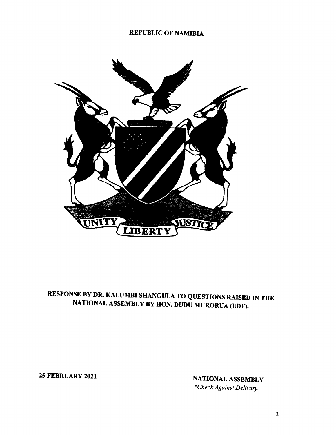## REPUBLIC OF NAMIBIA



## RESPONSE BY DR. KALUMBI SHANGULA TO QUESTIONS RAISED IN THE NATIONAL ASSEMBLY BY HON. DUDU MURORUA (UDF).

25 FEBRUARY 2021 NATIONAL ASSEMBLY *\*Check Against Delivery.*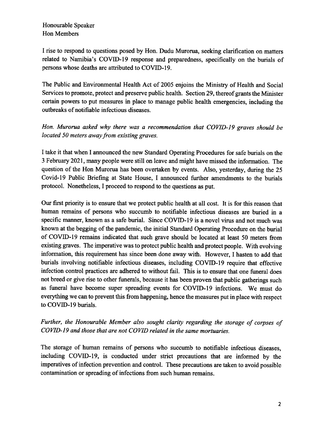Honourable Speaker Hon Members

I rise to respond to questions posed by Hon. Dudu Murorua, seeking clarification on matters related to Namibia's COVID-19 response and preparedness, specifically on the burials of persons whose deaths are attributed to COVID-19.

The Public and Environmental Health Act of 2005 enjoins the Ministry of Health and Social Services to promote, protect and preserve public health. Section 29, thereof grants the Minister certain powers to put measures in place to manage public health emergencies, including the outbreaks of notifiable infectious diseases.

*Hon. Murorua asked why there was a recommendation that COVID-19 graves should be located 50 meters away from existing graves.*

I take it that when I announced the new Standard Operating Procedures for safe burials on the 3 February 2021, many people were still on leave and might have missed the information. The question of the Hon Murorua has been overtaken by events. Also, yesterday, during the 25 Covid-19 Public Briefing at State House, I announced further amendments to the burials protocol. Nonetheless, I proceed to respond to the questions as put.

Our first priority is to ensure that we protect public health at all cost. It is for this reason that human remains of persons who succumb to notifiable infectious diseases are buried in a specific manner, known as a safe burial. Since COVID-19 is a novel virus and not much was known at the begging of the pandemic, the initial Standard Operating Procedure on the burial of COVID-19 remains indicated that such grave should be located at least 50 meters from existing graves. The imperative was to protect public health and protect people. With evolving information, this requirement has since been done away with. However, I hasten to add that burials involving notifiable infectious diseases, including COVID-19 require that effective infection control practices are adhered to without fail. This is to ensure that one funeral does not breed or give rise to other funerals, because it has been proven that public gatherings such as funeral have become super spreading events for COVID-19 infections. We must do everything we can to prevent this from happening, hence the measures put in place with respect to COVID-19 burials.

*Further, the Honourable Member also sought clarity regarding the storage of corpses of COVID-19 and those that are not COVID related in the same mortuaries.*

The storage of human remains of persons who succumb to notifiable infectious diseases, including COVID-19, is conducted under strict precautions that are informed by the imperatives of infection prevention and control. These precautions are taken to avoid possible contamination or spreading of infections from such human remains.